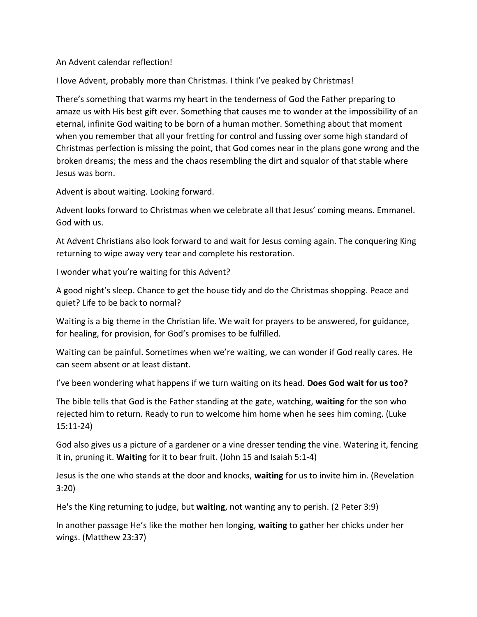## An Advent calendar reflection!

I love Advent, probably more than Christmas. I think I've peaked by Christmas!

There's something that warms my heart in the tenderness of God the Father preparing to amaze us with His best gift ever. Something that causes me to wonder at the impossibility of an eternal, infinite God waiting to be born of a human mother. Something about that moment when you remember that all your fretting for control and fussing over some high standard of Christmas perfection is missing the point, that God comes near in the plans gone wrong and the broken dreams; the mess and the chaos resembling the dirt and squalor of that stable where Jesus was born.

Advent is about waiting. Looking forward.

Advent looks forward to Christmas when we celebrate all that Jesus' coming means. Emmanel. God with us.

At Advent Christians also look forward to and wait for Jesus coming again. The conquering King returning to wipe away very tear and complete his restoration.

I wonder what you're waiting for this Advent?

A good night's sleep. Chance to get the house tidy and do the Christmas shopping. Peace and quiet? Life to be back to normal?

Waiting is a big theme in the Christian life. We wait for prayers to be answered, for guidance, for healing, for provision, for God's promises to be fulfilled.

Waiting can be painful. Sometimes when we're waiting, we can wonder if God really cares. He can seem absent or at least distant.

I've been wondering what happens if we turn waiting on its head. **Does God wait for us too?**

The bible tells that God is the Father standing at the gate, watching, **waiting** for the son who rejected him to return. Ready to run to welcome him home when he sees him coming. (Luke 15:11-24)

God also gives us a picture of a gardener or a vine dresser tending the vine. Watering it, fencing it in, pruning it. **Waiting** for it to bear fruit. (John 15 and Isaiah 5:1-4)

Jesus is the one who stands at the door and knocks, **waiting** for us to invite him in. (Revelation 3:20)

He's the King returning to judge, but **waiting**, not wanting any to perish. (2 Peter 3:9)

In another passage He's like the mother hen longing, **waiting** to gather her chicks under her wings. (Matthew 23:37)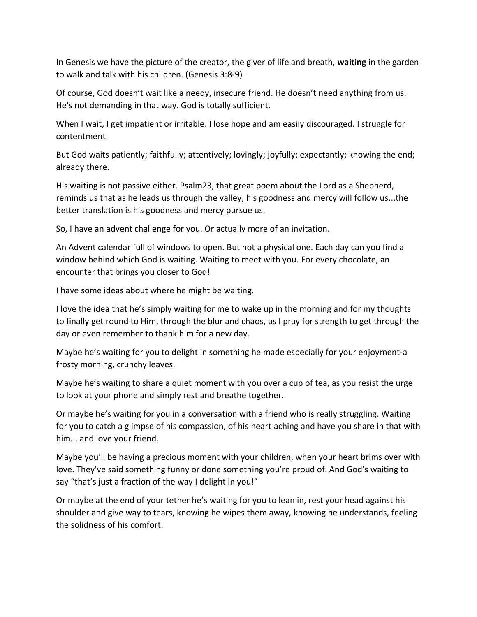In Genesis we have the picture of the creator, the giver of life and breath, **waiting** in the garden to walk and talk with his children. (Genesis 3:8-9)

Of course, God doesn't wait like a needy, insecure friend. He doesn't need anything from us. He's not demanding in that way. God is totally sufficient.

When I wait, I get impatient or irritable. I lose hope and am easily discouraged. I struggle for contentment.

But God waits patiently; faithfully; attentively; lovingly; joyfully; expectantly; knowing the end; already there.

His waiting is not passive either. Psalm23, that great poem about the Lord as a Shepherd, reminds us that as he leads us through the valley, his goodness and mercy will follow us...the better translation is his goodness and mercy pursue us.

So, I have an advent challenge for you. Or actually more of an invitation.

An Advent calendar full of windows to open. But not a physical one. Each day can you find a window behind which God is waiting. Waiting to meet with you. For every chocolate, an encounter that brings you closer to God!

I have some ideas about where he might be waiting.

I love the idea that he's simply waiting for me to wake up in the morning and for my thoughts to finally get round to Him, through the blur and chaos, as I pray for strength to get through the day or even remember to thank him for a new day.

Maybe he's waiting for you to delight in something he made especially for your enjoyment-a frosty morning, crunchy leaves.

Maybe he's waiting to share a quiet moment with you over a cup of tea, as you resist the urge to look at your phone and simply rest and breathe together.

Or maybe he's waiting for you in a conversation with a friend who is really struggling. Waiting for you to catch a glimpse of his compassion, of his heart aching and have you share in that with him... and love your friend.

Maybe you'll be having a precious moment with your children, when your heart brims over with love. They've said something funny or done something you're proud of. And God's waiting to say "that's just a fraction of the way I delight in you!"

Or maybe at the end of your tether he's waiting for you to lean in, rest your head against his shoulder and give way to tears, knowing he wipes them away, knowing he understands, feeling the solidness of his comfort.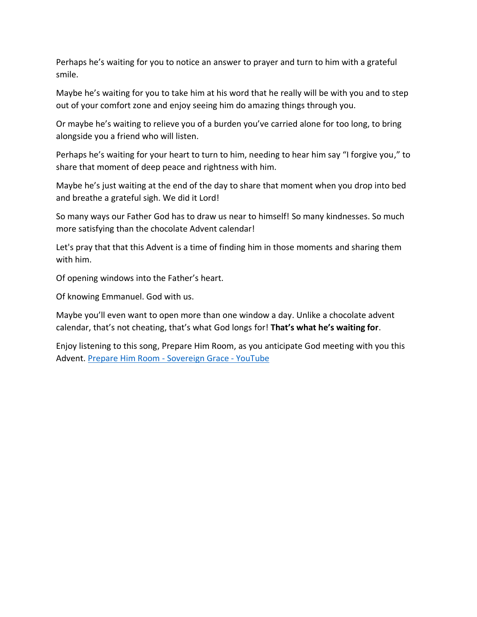Perhaps he's waiting for you to notice an answer to prayer and turn to him with a grateful smile.

Maybe he's waiting for you to take him at his word that he really will be with you and to step out of your comfort zone and enjoy seeing him do amazing things through you.

Or maybe he's waiting to relieve you of a burden you've carried alone for too long, to bring alongside you a friend who will listen.

Perhaps he's waiting for your heart to turn to him, needing to hear him say "I forgive you," to share that moment of deep peace and rightness with him.

Maybe he's just waiting at the end of the day to share that moment when you drop into bed and breathe a grateful sigh. We did it Lord!

So many ways our Father God has to draw us near to himself! So many kindnesses. So much more satisfying than the chocolate Advent calendar!

Let's pray that that this Advent is a time of finding him in those moments and sharing them with him.

Of opening windows into the Father's heart.

Of knowing Emmanuel. God with us.

Maybe you'll even want to open more than one window a day. Unlike a chocolate advent calendar, that's not cheating, that's what God longs for! **That's what he's waiting for**.

Enjoy listening to this song, Prepare Him Room, as you anticipate God meeting with you this Advent. [Prepare Him Room -](https://www.youtube.com/watch?v=KO4a0ky0Kc8) Sovereign Grace - YouTube